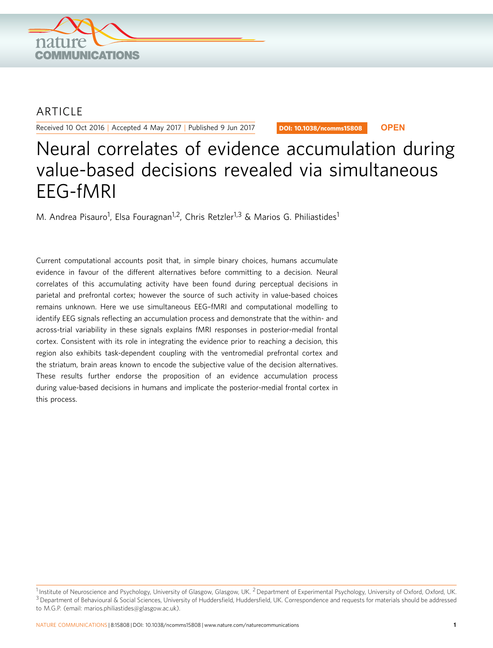

## **ARTICLE**

Received 10 Oct 2016 | Accepted 4 May 2017 | Published 9 Jun 2017

DOI: 10.1038/ncomms15808 **OPEN**

# Neural correlates of evidence accumulation during value-based decisions revealed via simultaneous EEG-fMRI

M. Andrea Pisauro<sup>1</sup>, Elsa Fouragnan<sup>1,2</sup>, Chris Retzler<sup>1,3</sup> & Marios G. Philiastides<sup>1</sup>

Current computational accounts posit that, in simple binary choices, humans accumulate evidence in favour of the different alternatives before committing to a decision. Neural correlates of this accumulating activity have been found during perceptual decisions in parietal and prefrontal cortex; however the source of such activity in value-based choices remains unknown. Here we use simultaneous EEG–fMRI and computational modelling to identify EEG signals reflecting an accumulation process and demonstrate that the within- and across-trial variability in these signals explains fMRI responses in posterior-medial frontal cortex. Consistent with its role in integrating the evidence prior to reaching a decision, this region also exhibits task-dependent coupling with the ventromedial prefrontal cortex and the striatum, brain areas known to encode the subjective value of the decision alternatives. These results further endorse the proposition of an evidence accumulation process during value-based decisions in humans and implicate the posterior-medial frontal cortex in this process.

 $1$ Institute of Neuroscience and Psychology, University of Glasgow, Glasgow, UK. <sup>2</sup> Department of Experimental Psychology, University of Oxford, Oxford, UK.  $3$  Department of Behavioural & Social Sciences, University of Huddersfield, Huddersfield, UK. Correspondence and requests for materials should be addressed to M.G.P. (email: [marios.philiastides@glasgow.ac.uk](mailto:marios.philiastides@glasgow.ac.uk)).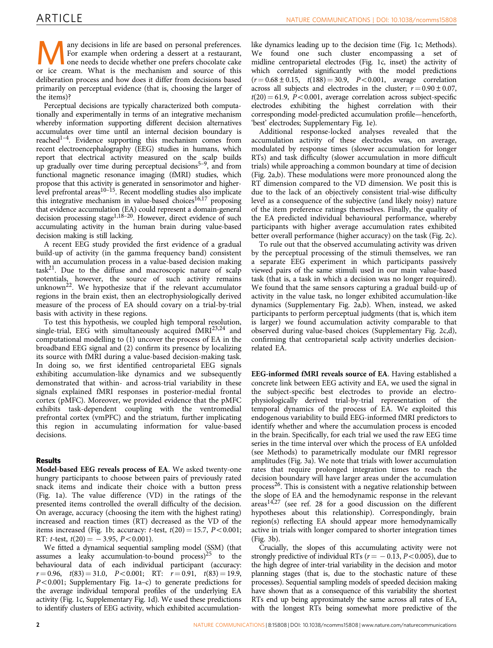Many decisions in life are based on personal preferences.<br>
For example when ordering a dessert at a restaurant,<br>
one needs to decide whether one prefers chocolate cake For example when ordering a dessert at a restaurant, or ice cream. What is the mechanism and source of this deliberation process and how does it differ from decisions based primarily on perceptual evidence (that is, choosing the larger of the items)?

Perceptual decisions are typically characterized both computationally and experimentally in terms of an integrative mechanism whereby information supporting different decision alternatives accumulates over time until an internal decision boundary is reached<sup>1-4</sup>. Evidence supporting this mechanism comes from recent electroencephalography (EEG) studies in humans, which report that electrical activity measured on the scalp builds up gradually over time during perceptual decisions<sup>5-9</sup>, and from functional magnetic resonance imaging (fMRI) studies, which propose that this activity is generated in sensorimotor and higherlevel prefrontal areas<sup>10-15</sup>. Recent modelling studies also implicate this integrative mechanism in value-based choices<sup>[16,17](#page-7-0)</sup> proposing that evidence accumulation (EA) could represent a domain-general decision processing stage<sup>1,18–20</sup>. However, direct evidence of such accumulating activity in the human brain during value-based decision making is still lacking.

A recent EEG study provided the first evidence of a gradual build-up of activity (in the gamma frequency band) consistent with an accumulation process in a value-based decision making  $task^{21}$ . Due to the diffuse and macroscopic nature of scalp potentials, however, the source of such activity remains unknown[22.](#page-7-0) We hypothesize that if the relevant accumulator regions in the brain exist, then an electrophysiologically derived measure of the process of EA should covary on a trial-by-trial basis with activity in these regions.

To test this hypothesis, we coupled high temporal resolution, single-trial, EEG with simultaneously acquired  $fMRI^{23,24}$  $fMRI^{23,24}$  $fMRI^{23,24}$  and computational modelling to (1) uncover the process of EA in the broadband EEG signal and (2) confirm its presence by localizing its source with fMRI during a value-based decision-making task. In doing so, we first identified centroparietal EEG signals exhibiting accumulation-like dynamics and we subsequently demonstrated that within- and across-trial variability in these signals explained fMRI responses in posterior-medial frontal cortex (pMFC). Moreover, we provided evidence that the pMFC exhibits task-dependent coupling with the ventromedial prefrontal cortex (vmPFC) and the striatum, further implicating this region in accumulating information for value-based decisions.

### Results

Model-based EEG reveals process of EA. We asked twenty-one hungry participants to choose between pairs of previously rated snack items and indicate their choice with a button press ([Fig. 1a](#page-2-0)). The value difference (VD) in the ratings of the presented items controlled the overall difficulty of the decision. On average, accuracy (choosing the item with the highest rating) increased and reaction times (RT) decreased as the VD of the items increased ([Fig. 1b](#page-2-0); accuracy: *t*-test,  $t(20) = 15.7$ ,  $P < 0.001$ ; RT: *t*-test,  $t(20) = -3.95, P < 0.001$ ).

We fitted a dynamical sequential sampling model (SSM) (that assumes a leaky accumulation-to-bound process) $25$  to the behavioural data of each individual participant (accuracy:  $r = 0.96, t(83) = 31.0, P < 0.001; RT: r = 0.91, t(83) = 19.9,$  $P<0.001$ ; Supplementary Fig. 1a-c) to generate predictions for the average individual temporal profiles of the underlying EA activity ([Fig. 1c,](#page-2-0) Supplementary Fig. 1d). We used these predictions to identify clusters of EEG activity, which exhibited accumulationlike dynamics leading up to the decision time ([Fig. 1c;](#page-2-0) Methods). We found one such cluster encompassing a set of midline centroparietal electrodes [\(Fig. 1c,](#page-2-0) inset) the activity of which correlated significantly with the model predictions  $(r = 0.68 \pm 0.15, t(188) = 30.9, P < 0.001,$  average correlation across all subjects and electrodes in the cluster;  $r = 0.90 \pm 0.07$ ,  $t(20) = 61.9$ , P<0.001, average correlation across subject-specific electrodes exhibiting the highest correlation with their corresponding model-predicted accumulation profile—henceforth, 'best' electrodes; Supplementary Fig. 1e).

Additional response-locked analyses revealed that the accumulation activity of these electrodes was, on average, modulated by response times (slower accumulation for longer RTs) and task difficulty (slower accumulation in more difficult trials) while approaching a common boundary at time of decision ([Fig. 2a,b](#page-2-0)). These modulations were more pronounced along the RT dimension compared to the VD dimension. We posit this is due to the lack of an objectively consistent trial-wise difficulty level as a consequence of the subjective (and likely noisy) nature of the item preference ratings themselves. Finally, the quality of the EA predicted individual behavioural performance, whereby participants with higher average accumulation rates exhibited better overall performance (higher accuracy) on the task ([Fig. 2c](#page-2-0)).

To rule out that the observed accumulating activity was driven by the perceptual processing of the stimuli themselves, we ran a separate EEG experiment in which participants passively viewed pairs of the same stimuli used in our main value-based task (that is, a task in which a decision was no longer required). We found that the same sensors capturing a gradual build-up of activity in the value task, no longer exhibited accumulation-like dynamics (Supplementary Fig. 2a,b). When, instead, we asked participants to perform perceptual judgments (that is, which item is larger) we found accumulation activity comparable to that observed during value-based choices (Supplementary Fig. 2c,d), confirming that centroparietal scalp activity underlies decisionrelated EA.

EEG-informed fMRI reveals source of EA. Having established a concrete link between EEG activity and EA, we used the signal in the subject-specific best electrodes to provide an electrophysiologically derived trial-by-trial representation of the temporal dynamics of the process of EA. We exploited this endogenous variability to build EEG-informed fMRI predictors to identify whether and where the accumulation process is encoded in the brain. Specifically, for each trial we used the raw EEG time series in the time interval over which the process of EA unfolded (see Methods) to parametrically modulate our fMRI regressor amplitudes [\(Fig. 3a](#page-3-0)). We note that trials with lower accumulation rates that require prolonged integration times to reach the decision boundary will have larger areas under the accumulation process<sup>26</sup>. This is consistent with a negative relationship between the slope of EA and the hemodynamic response in the relevant  $\arccos$ <sup>[14,27](#page-7-0)</sup> (see [ref. 28](#page-7-0) for a good discussion on the different hypotheses about this relationship). Correspondingly, brain region(s) reflecting EA should appear more hemodynamically active in trials with longer compared to shorter integration times ([Fig. 3b](#page-3-0)).

Crucially, the slopes of this accumulating activity were not strongly predictive of individual RTs ( $r = -0.13$ ,  $P < 0.005$ ), due to the high degree of inter-trial variability in the decision and motor planning stages (that is, due to the stochastic nature of these processes). Sequential sampling models of speeded decision making have shown that as a consequence of this variability the shortest RTs end up being approximately the same across all rates of EA, with the longest RTs being somewhat more predictive of the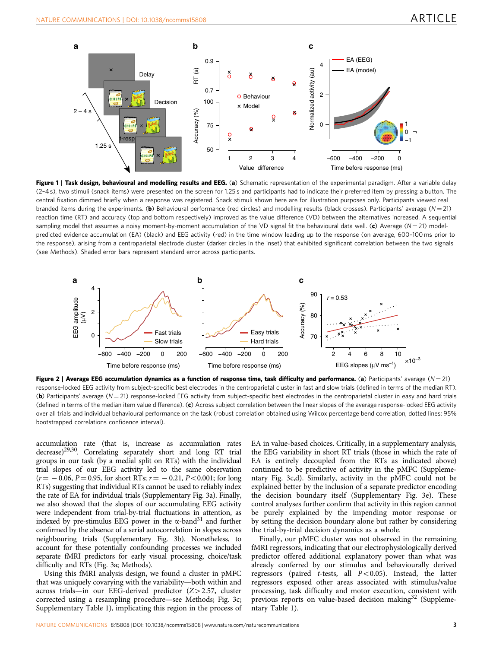<span id="page-2-0"></span>

Figure 1 | Task design, behavioural and modelling results and EEG. (a) Schematic representation of the experimental paradigm. After a variable delay (2–4 s), two stimuli (snack items) were presented on the screen for 1.25 s and participants had to indicate their preferred item by pressing a button. The central fixation dimmed briefly when a response was registered. Snack stimuli shown here are for illustration purposes only. Participants viewed real branded items during the experiments. (b) Behavioural performance (red circles) and modelling results (black crosses). Participants' average ( $N = 21$ ) reaction time (RT) and accuracy (top and bottom respectively) improved as the value difference (VD) between the alternatives increased. A sequential sampling model that assumes a noisy moment-by-moment accumulation of the VD signal fit the behavioural data well. (c) Average ( $N = 21$ ) modelpredicted evidence accumulation (EA) (black) and EEG activity (red) in the time window leading up to the response (on average, 600–100 ms prior to the response), arising from a centroparietal electrode cluster (darker circles in the inset) that exhibited significant correlation between the two signals (see Methods). Shaded error bars represent standard error across participants.



Figure 2 | Average EEG accumulation dynamics as a function of response time, task difficulty and performance. (a) Participants' average ( $N=21$ ) response-locked EEG activity from subject-specific best electrodes in the centroparietal cluster in fast and slow trials (defined in terms of the median RT). (b) Participants' average ( $N = 21$ ) response-locked EEG activity from subject-specific best electrodes in the centroparietal cluster in easy and hard trials (defined in terms of the median item value difference). (c) Across subject correlation between the linear slopes of the average response-locked EEG activity over all trials and individual behavioural performance on the task (robust correlation obtained using Wilcox percentage bend correlation, dotted lines: 95% bootstrapped correlations confidence interval).

accumulation rate (that is, increase as accumulation rates decrease[\)29,30.](#page-7-0) Correlating separately short and long RT trial groups in our task (by a medial split on RTs) with the individual trial slopes of our EEG activity led to the same observation  $(r=-0.06, P=0.95, \text{ for short RTs}; r=-0.21, P<0.001; \text{ for long}$ RTs) suggesting that individual RTs cannot be used to reliably index the rate of EA for individual trials (Supplementary Fig. 3a). Finally, we also showed that the slopes of our accumulating EEG activity were independent from trial-by-trial fluctuations in attention, as indexed by pre-stimulus EEG power in the  $\alpha$ -band<sup>31</sup> and further confirmed by the absence of a serial autocorrelation in slopes across neighbouring trials (Supplementary Fig. 3b). Nonetheless, to account for these potentially confounding processes we included separate fMRI predictors for early visual processing, choice/task difficulty and RTs [\(Fig. 3a;](#page-3-0) Methods).

Using this fMRI analysis design, we found a cluster in pMFC that was uniquely covarying with the variability—both within and across trials—in our EEG-derived predictor  $(Z>2.57$ , cluster corrected using a resampling procedure—see Methods; [Fig. 3c;](#page-3-0) Supplementary Table 1), implicating this region in the process of EA in value-based choices. Critically, in a supplementary analysis, the EEG variability in short RT trials (those in which the rate of EA is entirely decoupled from the RTs as indicated above) continued to be predictive of activity in the pMFC (Supplementary Fig. 3c,d). Similarly, activity in the pMFC could not be explained better by the inclusion of a separate predictor encoding the decision boundary itself (Supplementary Fig. 3e). These control analyses further confirm that activity in this region cannot be purely explained by the impending motor response or by setting the decision boundary alone but rather by considering the trial-by-trial decision dynamics as a whole.

Finally, our pMFC cluster was not observed in the remaining fMRI regressors, indicating that our electrophysiologically derived predictor offered additional explanatory power than what was already conferred by our stimulus and behaviourally derived regressors (paired *t*-tests, all  $P < 0.05$ ). Instead, the latter regressors exposed other areas associated with stimulus/value processing, task difficulty and motor execution, consistent with previous reports on value-based decision making<sup>[32](#page-7-0)</sup> (Supplementary Table 1).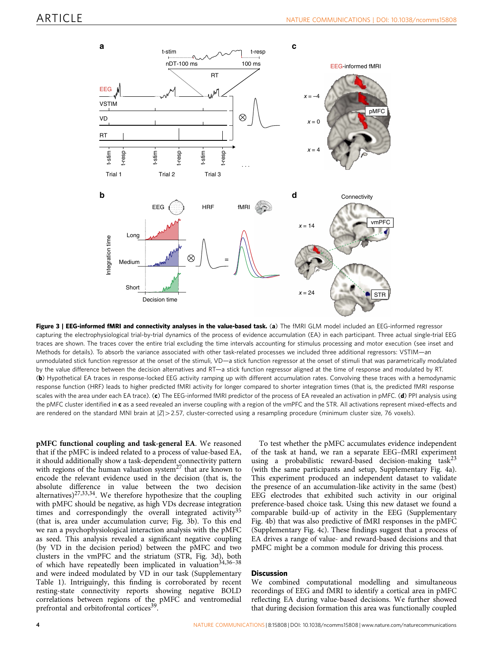<span id="page-3-0"></span>

Figure 3 | EEG-informed fMRI and connectivity analyses in the value-based task. (a) The fMRI GLM model included an EEG-informed regressor capturing the electrophysiological trial-by-trial dynamics of the process of evidence accumulation (EA) in each participant. Three actual single-trial EEG traces are shown. The traces cover the entire trial excluding the time intervals accounting for stimulus processing and motor execution (see inset and Methods for details). To absorb the variance associated with other task-related processes we included three additional regressors: VSTIM—an unmodulated stick function regressor at the onset of the stimuli, VD—a stick function regressor at the onset of stimuli that was parametrically modulated by the value difference between the decision alternatives and RT—a stick function regressor aligned at the time of response and modulated by RT. (b) Hypothetical EA traces in response-locked EEG activity ramping up with different accumulation rates. Convolving these traces with a hemodynamic response function (HRF) leads to higher predicted fMRI activity for longer compared to shorter integration times (that is, the predicted fMRI response scales with the area under each EA trace). (c) The EEG-informed fMRI predictor of the process of EA revealed an activation in pMFC. (d) PPI analysis using the pMFC cluster identified in c as a seed revealed an inverse coupling with a region of the vmPFC and the STR. All activations represent mixed-effects and are rendered on the standard MNI brain at  $|Z| > 2.57$ , cluster-corrected using a resampling procedure (minimum cluster size, 76 voxels).

pMFC functional coupling and task-general EA. We reasoned that if the pMFC is indeed related to a process of value-based EA, it should additionally show a task-dependent connectivity pattern with regions of the human valuation system<sup>[27](#page-7-0)</sup> that are known to encode the relevant evidence used in the decision (that is, the absolute difference in value between the two decision alternatives) $27,33,34$ . We therefore hypothesize that the coupling with pMFC should be negative, as high VDs decrease integration times and correspondingly the overall integrated activity<sup>[35](#page-7-0)</sup> (that is, area under accumulation curve; Fig. 3b). To this end we ran a psychophysiological interaction analysis with the pMFC as seed. This analysis revealed a significant negative coupling (by VD in the decision period) between the pMFC and two clusters in the vmPFC and the striatum (STR, Fig. 3d), both of which have repeatedly been implicated in valuation<sup>34,36-38</sup> and were indeed modulated by VD in our task (Supplementary Table 1). Intriguingly, this finding is corroborated by recent resting-state connectivity reports showing negative BOLD correlations between regions of the pMFC and ventromedial prefrontal and orbitofrontal cortices<sup>[39](#page-7-0)</sup>

To test whether the pMFC accumulates evidence independent of the task at hand, we ran a separate EEG–fMRI experiment using a probabilistic reward-based decision-making task<sup>[23](#page-7-0)</sup> (with the same participants and setup, Supplementary Fig. 4a). This experiment produced an independent dataset to validate the presence of an accumulation-like activity in the same (best) EEG electrodes that exhibited such activity in our original preference-based choice task. Using this new dataset we found a comparable build-up of activity in the EEG (Supplementary Fig. 4b) that was also predictive of fMRI responses in the pMFC (Supplementary Fig. 4c). These findings suggest that a process of EA drives a range of value- and reward-based decisions and that pMFC might be a common module for driving this process.

### **Discussion**

We combined computational modelling and simultaneous recordings of EEG and fMRI to identify a cortical area in pMFC reflecting EA during value-based decisions. We further showed that during decision formation this area was functionally coupled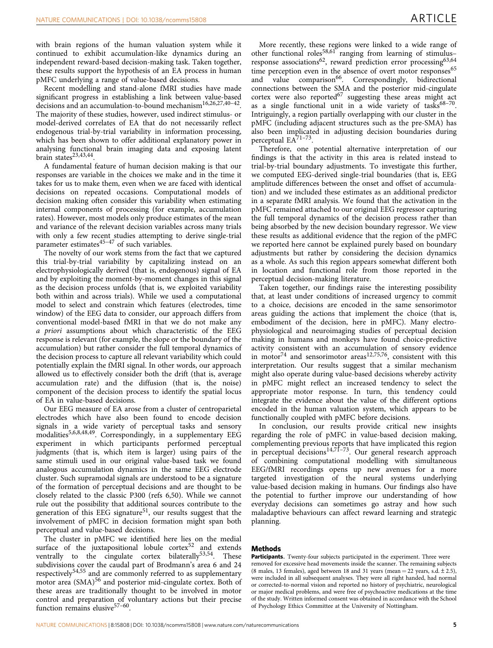with brain regions of the human valuation system while it continued to exhibit accumulation-like dynamics during an independent reward-based decision-making task. Taken together, these results support the hypothesis of an EA process in human pMFC underlying a range of value-based decisions.

Recent modelling and stand-alone fMRI studies have made significant progress in establishing a link between value-based decisions and an accumulation-to-bound mechanism<sup>16,26,27,40-42</sup>. The majority of these studies, however, used indirect stimulus- or model-derived correlates of EA that do not necessarily reflect endogenous trial-by-trial variability in information processing, which has been shown to offer additional explanatory power in analysing functional brain imaging data and exposing latent brain states $^{23,43,44}$  $^{23,43,44}$  $^{23,43,44}$ .

A fundamental feature of human decision making is that our responses are variable in the choices we make and in the time it takes for us to make them, even when we are faced with identical decisions on repeated occasions. Computational models of decision making often consider this variability when estimating internal components of processing (for example, accumulation rates). However, most models only produce estimates of the mean and variance of the relevant decision variables across many trials with only a few recent studies attempting to derive single-trial parameter estimates<sup>45-47</sup> of such variables.

The novelty of our work stems from the fact that we captured this trial-by-trial variability by capitalizing instead on an electrophysiologically derived (that is, endogenous) signal of EA and by exploiting the moment-by-moment changes in this signal as the decision process unfolds (that is, we exploited variability both within and across trials). While we used a computational model to select and constrain which features (electrodes, time window) of the EEG data to consider, our approach differs from conventional model-based fMRI in that we do not make any a priori assumptions about which characteristic of the EEG response is relevant (for example, the slope or the boundary of the accumulation) but rather consider the full temporal dynamics of the decision process to capture all relevant variability which could potentially explain the fMRI signal. In other words, our approach allowed us to effectively consider both the drift (that is, average accumulation rate) and the diffusion (that is, the noise) component of the decision process to identify the spatial locus of EA in value-based decisions.

Our EEG measure of EA arose from a cluster of centroparietal electrodes which have also been found to encode decision signals in a wide variety of perceptual tasks and sensory modalities<sup>5,6,8,48,49</sup>. Correspondingly, in a supplementary EEG experiment in which participants performed perceptual judgments (that is, which item is larger) using pairs of the same stimuli used in our original value-based task we found analogous accumulation dynamics in the same EEG electrode cluster. Such supramodal signals are understood to be a signature of the formation of perceptual decisions and are thought to be closely related to the classic P300 ([refs 6,50\)](#page-7-0). While we cannot rule out the possibility that additional sources contribute to the generation of this EEG signature<sup>[51](#page-8-0)</sup>, our results suggest that the involvement of pMFC in decision formation might span both perceptual and value-based decisions.

The cluster in pMFC we identified here lies on the medial surface of the juxtapositional lobule  $\text{cortex}^{52}$  $\text{cortex}^{52}$  $\text{cortex}^{52}$  and extends ventrally to the cingulate cortex bilaterally<sup>53,54</sup>. These subdivisions cover the caudal part of Brodmann's area 6 and 24 respectively[54,55](#page-8-0) and are commonly referred to as supplementary motor area (SMA)<sup>[56](#page-8-0)</sup> and posterior mid-cingulate cortex. Both of these areas are traditionally thought to be involved in motor control and preparation of voluntary actions but their precise function remains elusive<sup>57-60</sup>.

More recently, these regions were linked to a wide range of other functional roles<sup>58,61</sup> ranging from learning of stimulus– response associations<sup>62</sup>, reward prediction error processing  $63,64$ time perception even in the absence of overt motor responses $65$ and value comparison<sup>66</sup>. Correspondingly, bidirectional connections between the SMA and the posterior mid-cingulate cortex were also reported $67$  suggesting these areas might act as a single functional unit in a wide variety of tasks $68-70$ . Intriguingly, a region partially overlapping with our cluster in the pMFC (including adjacent structures such as the pre-SMA) has also been implicated in adjusting decision boundaries during perceptual EA[71–73](#page-8-0).

Therefore, one potential alternative interpretation of our findings is that the activity in this area is related instead to trial-by-trial boundary adjustments. To investigate this further, we computed EEG-derived single-trial boundaries (that is, EEG amplitude differences between the onset and offset of accumulation) and we included these estimates as an additional predictor in a separate fMRI analysis. We found that the activation in the pMFC remained attached to our original EEG regressor capturing the full temporal dynamics of the decision process rather than being absorbed by the new decision boundary regressor. We view these results as additional evidence that the region of the pMFC we reported here cannot be explained purely based on boundary adjustments but rather by considering the decision dynamics as a whole. As such this region appears somewhat different both in location and functional role from those reported in the perceptual decision-making literature.

Taken together, our findings raise the interesting possibility that, at least under conditions of increased urgency to commit to a choice, decisions are encoded in the same sensorimotor areas guiding the actions that implement the choice (that is, embodiment of the decision, here in pMFC). Many electrophysiological and neuroimaging studies of perceptual decision making in humans and monkeys have found choice-predictive activity consistent with an accumulation of sensory evidence in motor<sup>74</sup> and sensorimotor areas<sup>12,75,76</sup>, consistent with this interpretation. Our results suggest that a similar mechanism might also operate during value-based decisions whereby activity in pMFC might reflect an increased tendency to select the appropriate motor response. In turn, this tendency could integrate the evidence about the value of the different options encoded in the human valuation system, which appears to be functionally coupled with pMFC before decisions.

In conclusion, our results provide critical new insights regarding the role of pMFC in value-based decision making, complementing previous reports that have implicated this region in perceptual decisions<sup>14,71-73</sup>. Our general research approach of combining computational modelling with simultaneous EEG/fMRI recordings opens up new avenues for a more targeted investigation of the neural systems underlying value-based decision making in humans. Our findings also have the potential to further improve our understanding of how everyday decisions can sometimes go astray and how such maladaptive behaviours can affect reward learning and strategic planning.

### Methods

Participants. Twenty-four subjects participated in the experiment. Three were removed for excessive head movements inside the scanner. The remaining subjects (8 males, 13 females), aged between 18 and 31 years (mean = 22 years, s.d.  $\pm$  2.5), were included in all subsequent analyses. They were all right handed, had normal or corrected-to-normal vision and reported no history of psychiatric, neurological or major medical problems, and were free of psychoactive medications at the time of the study. Written informed consent was obtained in accordance with the School of Psychology Ethics Committee at the University of Nottingham.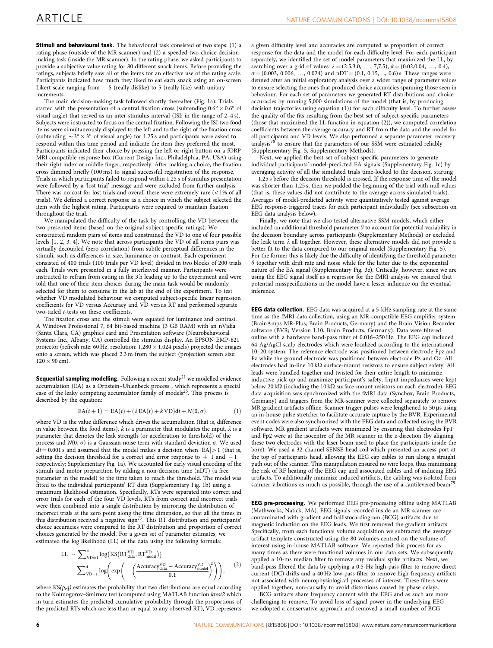**Stimuli and behavioural task.** The behavioural task consisted of two steps: (1) a rating phase (outside of the MR scanner) and (2) a speeded two-choice decisionmaking task (inside the MR scanner). In the rating phase, we asked participants to provide a subjective value rating for 80 different snack items. Before providing the ratings, subjects briefly saw all of the items for an effective use of the rating scale. Participants indicated how much they liked to eat each snack using an on-screen Likert scale ranging from - 5 (really dislike) to 5 (really like) with unitary increments.

The main decision-making task followed shortly thereafter [\(Fig. 1a](#page-2-0)). Trials started with the presentation of a central fixation cross (subtending  $0.6^{\circ} \times 0.6^{\circ}$  of visual angle) that served as an inter-stimulus interval (ISI: in the range of 2–4 s). Subjects were instructed to focus on the central fixation. Following the ISI two food items were simultaneously displayed to the left and to the right of the fixation cross (subtending  $\sim$  3°  $\times$  3° of visual angle) for 1.25 s and participants were asked to respond within this time period and indicate the item they preferred the most. Participants indicated their choice by pressing the left or right button on a fORP MRI compatible response box (Current Design Inc., Philadelphia, PA, USA) using their right index or middle finger, respectively. After making a choice, the fixation cross dimmed briefly (100 ms) to signal successful registration of the response. Trials in which participants failed to respond within 1.25 s of stimulus presentation were followed by a 'lost trial' message and were excluded from further analysis. There was no cost for lost trials and overall these were extremely rare  $(< 1\%$  of all trials). We defined a correct response as a choice in which the subject selected the item with the highest rating. Participants were required to maintain fixation throughout the trial.

We manipulated the difficulty of the task by controlling the VD between the two presented items (based on the original subject-specific ratings). We constructed random pairs of items and constrained the VD to one of four possible levels [1, 2, 3, 4]. We note that across participants the VD of all items pairs was virtually decoupled (zero correlation) from subtle perceptual differences in the stimuli, such as differences in size, luminance or contrast. Each experiment consisted of 400 trials (100 trials per VD level) divided in two blocks of 200 trials each. Trials were presented in a fully interleaved manner. Participants were instructed to refrain from eating in the 3 h leading up to the experiment and were told that one of their item choices during the main task would be randomly selected for them to consume in the lab at the end of the experiment. To test whether VD modulated behaviour we computed subject-specific linear regression coefficients for VD versus Accuracy and VD versus RT and performed separate two-tailed t-tests on these coefficients.

The fixation cross and the stimuli were equated for luminance and contrast. A Windows Professional 7, 64 bit-based machine (3 GB RAM) with an nVidia (Santa Clara, CA) graphics card and Presentation software (Neurobehavioral Systems Inc., Albany, CA) controlled the stimulus display. An EPSON EMP-821 projector (refresh rate: 60 Hz, resolution:  $1,280 \times 1,024$  pixels) projected the images onto a screen, which was placed 2.3 m from the subject (projection screen size:  $120 \times 90$  cm).

**Sequential sampling modelling.** Following a recent study<sup>[21](#page-7-0)</sup> we modelled evidence accumulation (EA) as a Ornstein–Uhlenbeck process , which represents a special case of the leaky competing accumulator family of models<sup>[25](#page-7-0)</sup>. This process is described by the equation:

$$
EA(t+1) = EA(t) + (\lambda EA(t) + kVD)dt + N(0, \sigma),
$$
\n(1)

where VD is the value difference which drives the accumulation (that is, difference in value between the food items), k is a parameter that modulates the input,  $\lambda$  is a parameter that denotes the leak strength (or acceleration to threshold) of the process and  $N(0, \sigma)$  is a Gaussian noise term with standard deviation  $\sigma$ . We used  $dt = 0.001$  s and assumed that the model makes a decision when  $|EA| > 1$  (that is, setting the decision threshold for a correct and error response to  $+$  1 and  $-1$ respectively; Supplementary Fig. 1a). We accounted for early visual encoding of the stimuli and motor preparation by adding a non-decision time (nDT) (a free parameter in the model) to the time taken to reach the threshold. The model was fitted to the individual participants' RT data (Supplementary Fig. 1b) using a maximum likelihood estimation. Specifically, RTs were separated into correct and error trials for each of the four VD levels. RTs from correct and incorrect trials were then combined into a single distribution by mirroring the distribution of incorrect trials at the zero point along the time dimension, so that all the times in this distribution received a negative sign<sup>[77](#page-8-0)</sup>. This RT distribution and participants' choice accuracies were compared to the RT distribution and proportion of correct choices generated by the model. For a given set of parameter estimates, we estimated the log likelihood (LL) of the data using the following formula:

$$
\begin{array}{l} \text{LL} \sim \sum\nolimits_{VD=1}^{4} \log\bigl(KS(RT_{data}^{VD}, RT_{model}^{VD})\bigr) \\ \qquad + \sum\nolimits_{VD=1}^{4} \log\Biggl(\exp\Biggl(-\biggl(\frac{Accuracy_{data}^{VD} - Accuracy_{model}^{VD})}{0.1}\biggr)^2\Biggr)\Biggr), \end{array} \tag{2}
$$

where  $KS(p,q)$  estimates the probability that two distributions are equal according to the Kolmogorov–Smirnov test (computed using MATLAB function ktest2 which in turn estimates the predicted cumulative probability through the proportions of the predicted RTs which are less than or equal to any observed RT), VD represents a given difficulty level and accuracies are computed as proportion of correct response for the data and the model for each difficulty level. For each participant separately, we identified the set of model parameters that maximized the LL, by searching over a grid of values:  $\lambda = (2.5, 3.0, ..., 7, 7.5), k = (0.02, 0.04, ..., 0.4),$  $\sigma = (0.003, 0.006, \ldots, 0.024)$  and  $nDT = (0.1, 0.15, \ldots, 0.6)$  s. These ranges were defined after an initial exploratory analysis over a wider range of parameter values to ensure selecting the ones that produced choice accuracies spanning those seen in behaviour. For each set of parameters we generated RT distributions and choice accuracies by running 5,000 simulations of the model (that is, by producing decision trajectories using equation (1)) for each difficulty level. To further assess the quality of the fits resulting from the best set of subject-specific parameters (those that maximized the LL function in equation (2)), we computed correlation coefficients between the average accuracy and RT from the data and the model for all participants and VD levels. We also performed a separate parameter recovery analysis<sup>[78](#page-8-0)</sup> to ensure that the parameters of our SSM were estimated reliably (Supplementary Fig. 5, Supplementary Methods).

Next, we applied the best set of subject-specific parameters to generate individual participants' model-predicted EA signals (Supplementary Fig. 1c) by averaging activity of all the simulated trials time-locked to the decision, starting - 1.25 s before the decision threshold is crossed. If the response time of the model was shorter than 1.25 s, then we padded the beginning of the trial with null values (that is, these values did not contribute to the average across simulated trials). Averages of model-predicted activity were quantitatively tested against average EEG response-triggered traces for each participant individually (see subsection on EEG data analysis below).

Finally, we note that we also tested alternative SSM models, which either included an additional threshold parameter  $\theta$  to account for potential variability in the decision boundary across participants (Supplementary Methods) or excluded the leak term  $\lambda$  all together. However, these alternative models did not provide a better fit to the data compared to our original model (Supplementary Fig. 5). For the former this is likely due the difficulty of identifying the threshold parameter  $\theta$  together with drift rate and noise while for the latter due to the exponential nature of the EA signal (Supplementary Fig. 3e). Critically, however, since we are using the EEG signal itself as a regressor for the fMRI analysis we ensured that potential misspecifications in the model have a lesser influence on the eventual inference.

EEG data collection. EEG data was acquired at a 5-kHz sampling rate at the same time as the fMRI data collection, using an MR-compatible EEG amplifier system (BrainAmps MR-Plus, Brain Products, Germany) and the Brain Vision Recorder software (BVR; Version 1.10, Brain Products, Germany). Data were filtered online with a hardware band-pass filter of 0.016–250 Hz. The EEG cap included 64 Ag/AgCl scalp electrodes which were localized according to the international 10–20 system. The reference electrode was positioned between electrode Fpz and Fz while the ground electrode was positioned between electrode Pz and Oz. All electrodes had in-line 10 k $\Omega$  surface-mount resistors to ensure subject safety. All leads were bundled together and twisted for their entire length to minimize inductive pick-up and maximize participant's safety. Input impedances were kept below 20 k $\Omega$  (including the 10 k $\Omega$  surface-mount resistors on each electrode). EEG data acquisition was synchronized with the fMRI data (Syncbox, Brain Products, Germany) and triggers from the MR-scanner were collected separately to remove MR gradient artifacts offline. Scanner trigger pulses were lengthened to  $50 \,\mu s$  using an in-house pulse stretcher to facilitate accurate capture by the BVR. Experimental event codes were also synchronized with the EEG data and collected using the BVR software. MR gradient artifacts were minimized by ensuring that electrodes Fp1 and Fp2 were at the isocentre of the MR scanner in the z-direction (by aligning these two electrodes with the laser beam used to place the participants inside the bore). We used a 32-channel SENSE head coil which presented an access port at the top of participants head, allowing the EEG cap cables to run along a straight path out of the scanner. This manipulation ensured no wire loops, thus minimizing the risk of RF heating of the EEG cap and associated cables and of inducing EEG artifacts. To additionally minimize induced artifacts, the cabling was isolated from scanner vibrations as much as possible, through the use of a cantilevered beam[79](#page-8-0).

**EEG pre-processing.** We performed EEG pre-processing offline using MATLAB (Mathworks, Natick, MA). EEG signals recorded inside an MR scanner are contaminated with gradient and ballistocardiogram (BCG) artifacts due to magnetic induction on the EEG leads. We first removed the gradient artifacts. Specifically, from each functional volume acquisition we subtracted the average artifact template constructed using the 80 volumes centred on the volume-ofinterest using in-house MATLAB software. We repeated this process for as many times as there were functional volumes in our data sets. We subsequently applied a 10-ms median filter to remove any residual spike artifacts. Next, we band-pass filtered the data by applying a 0.5-Hz high-pass filter to remove direct current (DC) drifts and a 40 Hz low-pass filter to remove high frequency artifacts not associated with neurophysiological processes of interest. These filters were applied together, non-causally to avoid distortions caused by phase delays.

BCG artifacts share frequency content with the EEG and as such are more challenging to remove. To avoid loss of signal power in the underlying EEG we adopted a conservative approach and removed a small number of BCG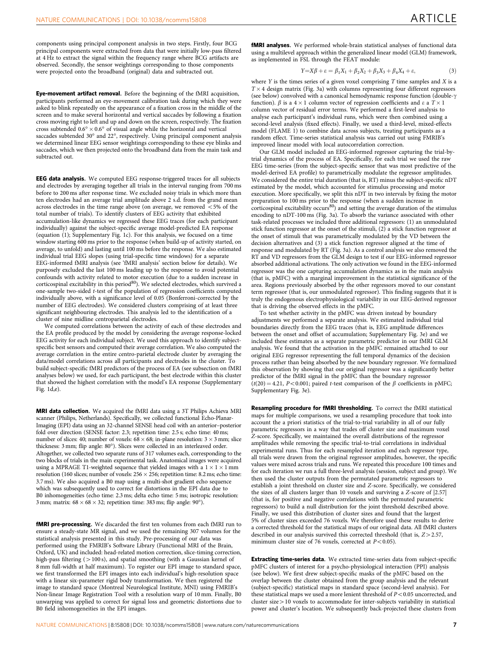components using principal component analysis in two steps. Firstly, four BCG principal components were extracted from data that were initially low-pass filtered at 4 Hz to extract the signal within the frequency range where BCG artifacts are observed. Secondly, the sensor weightings corresponding to those components were projected onto the broadband (original) data and subtracted out.

Eye-movement artifact removal. Before the beginning of the fMRI acquisition, participants performed an eye-movement calibration task during which they were asked to blink repeatedly on the appearance of a fixation cross in the middle of the screen and to make several horizontal and vertical saccades by following a fixation cross moving right to left and up and down on the screen, respectively. The fixation cross subtended 0.6°  $\times$  0.6° of visual angle while the horizontal and vertical saccades subtended 30° and 22°, respectively. Using principal component analysis we determined linear EEG sensor weightings corresponding to these eye blinks and saccades, which we then projected onto the broadband data from the main task and subtracted out.

EEG data analysis. We computed EEG response-triggered traces for all subjects and electrodes by averaging together all trials in the interval ranging from 700 ms before to 200 ms after response time. We excluded noisy trials in which more than ten electrodes had an average trial amplitude above 2 s.d. from the grand mean across electrodes in the time range above (on average, we removed  $<$  5% of the total number of trials). To identify clusters of EEG activity that exhibited accumulation-like dynamics we regressed these EEG traces (for each participant individually) against the subject-specific average model-predicted EA response (equation (1); Supplementary Fig. 1c). For this analysis, we focused on a time window starting 600 ms prior to the response (when build-up of activity started, on average, to unfold) and lasting until 100 ms before the response. We also estimated individual trial EEG slopes (using trial-specific time windows) for a separate EEG-informed fMRI analysis (see 'fMRI analysis' section below for details). We purposely excluded the last 100 ms leading up to the response to avoid potential confounds with activity related to motor execution (due to a sudden increase in<br>corticospinal excitability in this period<sup>[80](#page-8-0)</sup>). We selected electrodes, which survived a one-sample two-sided t-test of the population of regression coefficients computed individually above, with a significance level of 0.05 (Bonferroni-corrected by the number of EEG electrodes). We considered clusters comprising of at least three significant neighbouring electrodes. This analysis led to the identification of a cluster of nine midline centroparietal electrodes.

We computed correlations between the activity of each of these electrodes and the EA profile produced by the model by considering the average response-locked EEG activity for each individual subject. We used this approach to identify subjectspecific best sensors and computed their average correlation. We also computed the average correlation in the entire centro-parietal electrode cluster by averaging the data/model correlations across all participants and electrodes in the cluster. To build subject-specific fMRI predictors of the process of EA (see subsection on fMRI analyses below) we used, for each participant, the best electrode within this cluster that showed the highest correlation with the model's EA response (Supplementary Fig. 1d,e).

MRI data collection. We acquired the fMRI data using a 3T Philips Achieva MRI scanner (Philips, Netherlands). Specifically, we collected functional Echo-Planar-Imaging (EPI) data using an 32-channel SENSE head coil with an anterior–posterior fold over direction (SENSE factor: 2.3; repetition time: 2.5 s; echo time: 40 ms; number of slices: 40; number of voxels:  $68 \times 68$ ; in-plane resolution:  $3 \times 3$  mm; slice thickness: 3 mm; flip angle: 80°). Slices were collected in an interleaved order. Altogether, we collected two separate runs of 317 volumes each, corresponding to the two blocks of trials in the main experimental task. Anatomical images were acquired using a MPRAGE T1-weighted sequence that yielded images with a  $1 \times 1 \times 1$  mm resolution (160 slices; number of voxels:  $256 \times 256$ ; repetition time: 8.2 ms; echo time: 3.7 ms). We also acquired a B0 map using a multi-shot gradient echo sequence which was subsequently used to correct for distortions in the EPI data due to B0 inhomogeneities (echo time: 2.3 ms; delta echo time: 5 ms; isotropic resolution: 3 mm; matrix:  $68 \times 68 \times 32$ ; repetition time: 383 ms; flip angle:  $90^{\circ}$ ).

fMRI pre-processing. We discarded the first ten volumes from each fMRI run to ensure a steady-state MR signal, and we used the remaining 307 volumes for the statistical analysis presented in this study. Pre-processing of our data was performed using the FMRIB's Software Library (Functional MRI of the Brain, Oxford, UK) and included: head-related motion correction, slice-timing correction, high-pass filtering (>100 s), and spatial smoothing (with a Gaussian kernel of 8 mm full-width at half maximum). To register our EPI image to standard space, we first transformed the EPI images into each individual's high-resolution space with a linear six-parameter rigid body transformation. We then registered the image to standard space (Montreal Neurological Institute, MNI) using FMRIB's Non-linear Image Registration Tool with a resolution warp of 10 mm. Finally, B0 unwarping was applied to correct for signal loss and geometric distortions due to B0 field inhomogeneities in the EPI images.

fMRI analyses. We performed whole-brain statistical analyses of functional data using a multilevel approach within the generalized linear model (GLM) framework, as implemented in FSL through the FEAT module:

$$
Y = X\beta + \varepsilon = \beta_1 X_1 + \beta_2 X_2 + \beta_3 X_3 + \beta_4 X_4 + \varepsilon,
$$
\n(3)

where  $Y$  is the times series of a given voxel comprising  $T$  time samples and  $X$  is a  $T \times 4$  design matrix ([Fig. 3a](#page-3-0)) with columns representing four different regressors (see below) convolved with a canonical hemodynamic response function (double-g function).  $\beta$  is a  $4 \times 1$  column vector of regression coefficients and  $\varepsilon$  a  $T \times 1$ column vector of residual error terms. We performed a first-level analysis to analyse each participant's individual runs, which were then combined using a second-level analysis (fixed effects). Finally, we used a third-level, mixed-effects model (FLAME 1) to combine data across subjects, treating participants as a random effect. Time-series statistical analysis was carried out using FMRIB's improved linear model with local autocorrelation correction.

Our GLM model included an EEG-informed regressor capturing the trial-bytrial dynamics of the process of EA. Specifically, for each trial we used the raw EEG time-series (from the subject-specific sensor that was most predictive of the model-derived EA profile) to parametrically modulate the regressor amplitudes. We considered the entire trial duration (that is, RT) minus the subject-specific nDT estimated by the model, which accounted for stimulus processing and motor execution. More specifically, we split this nDT in two intervals by fixing the motor preparation to 100 ms prior to the response (when a sudden increase in corticospinal excitability occurs $80$ ) and setting the average duration of the stimulus encoding to nDT-100 ms ([Fig. 3a\)](#page-3-0). To absorb the variance associated with other task-related processes we included three additional regressors: (1) an unmodulated stick function regressor at the onset of the stimuli, (2) a stick function regressor at the onset of stimuli that was parametrically modulated by the VD between the decision alternatives and (3) a stick function regressor aligned at the time of response and modulated by RT [\(Fig. 3a](#page-3-0)). As a control analysis we also removed the RT and VD regressors from the GLM design to test if our EEG-informed regressor absorbed additional activations. The only activation we found in the EEG-informed regressor was the one capturing accumulation dynamics as in the main analysis (that is, pMFC) with a marginal improvement in the statistical significance of the area. Regions previously absorbed by the other regressors moved to our constant term regressor (that is, our unmodulated regressor). This finding suggests that it is truly the endogenous electrophysiological variability in our EEG-derived regressor that is driving the observed effects in the pMFC.

To test whether activity in the pMFC was driven instead by boundary adjustments we performed a separate analysis. We estimated individual trial boundaries directly from the EEG traces (that is, EEG amplitude differences between the onset and offset of accumulation; Supplementary Fig. 3e) and we included these estimates as a separate parametric predictor in our fMRI GLM analysis. We found that the activation in the pMFC remained attached to our original EEG regressor representing the full temporal dynamics of the decision process rather than being absorbed by the new boundary regressor. We formalized this observation by showing that our original regressor was a significantly better predictor of the fMRI signal in the pMFC than the boundary regressor  $(t(20) = 4.21, P < 0.001$ ; paired *t*-test comparison of the  $\beta$  coefficients in pMFC; Supplementary Fig. 3e).

Resampling procedure for fMRI thresholding. To correct the fMRI statistical maps for multiple comparisons, we used a resampling procedure that took into account the a priori statistics of the trial-to-trial variability in all of our fully parametric regressors in a way that trades off cluster size and maximum voxel Z-score. Specifically, we maintained the overall distributions of the regressor amplitudes while removing the specific trial-to-trial correlations in individual experimental runs. Thus for each resampled iteration and each regressor type, all trials were drawn from the original regressor amplitudes, however, the specific values were mixed across trials and runs. We repeated this procedure 100 times and for each iteration we run a full three-level analysis (session, subject and group). We then used the cluster outputs from the permutated parametric regressors to establish a joint threshold on cluster size and Z-score. Specifically, we considered the sizes of all clusters larger than 10 voxels and surviving a Z-score of |2.57| (that is, for positive and negative correlations with the permuted parametric regressors) to build a null distribution for the joint threshold described above. Finally, we used this distribution of cluster sizes and found that the largest 5% of cluster sizes exceeded 76 voxels. We therefore used these results to derive a corrected threshold for the statistical maps of our original data. All fMRI clusters described in our analysis survived this corrected threshold (that is,  $Z > 2.57$ , minimum cluster size of 76 voxels, corrected at  $P < 0.05$ ).

Extracting time-series data. We extracted time-series data from subject-specific pMFC clusters of interest for a psycho-physiological interaction (PPI) analysis (see below). We first drew subject-specific masks of the pMFC based on the overlap between the cluster obtained from the group analysis and the relevant (subject-specific) statistical maps in standard space (second-level analysis). For these statistical maps we used a more lenient threshold of  $P\!<\!0.05$  uncorrected, and cluster size > 10 voxels to accommodate for inter-subjects variability in statistical power and cluster's location. We subsequently back-projected these clusters from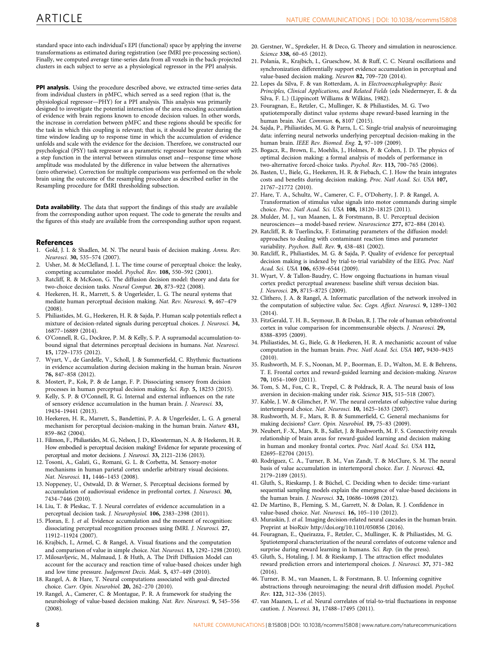<span id="page-7-0"></span>standard space into each individual's EPI (functional) space by applying the inverse transformations as estimated during registration (see fMRI pre-processing section). Finally, we computed average time-series data from all voxels in the back-projected clusters in each subject to serve as a physiological regressor in the PPI analysis.

PPI analysis. Using the procedure described above, we extracted time-series data from individual clusters in pMFC, which served as a seed region (that is, the physiological regressor—PHY) for a PPI analysis. This analysis was primarily designed to investigate the potential interaction of the area encoding accumulation of evidence with brain regions known to encode decision values. In other words, the increase in correlation between pMFC and these regions should be specific for the task in which this coupling is relevant; that is, it should be greater during the time window leading up to response time in which the accumulation of evidence unfolds and scale with the evidence for the decision. Therefore, we constructed our psychological (PSY) task regressor as a parametric regressor boxcar regressor with a step function in the interval between stimulus onset and—response time whose amplitude was modulated by the difference in value between the alternatives (zero otherwise). Correction for multiple comparisons was performed on the whole brain using the outcome of the resampling procedure as described earlier in the Resampling procedure for fMRI thresholding subsection.

Data availability. The data that support the findings of this study are available from the corresponding author upon request. The code to generate the results and the figures of this study are available from the corresponding author upon request.

### References

- 1. Gold, J. I. & Shadlen, M. N. The neural basis of decision making. Annu. Rev. Neurosci. 30, 535–574 (2007).
- 2. Usher, M. & McClelland, J. L. The time course of perceptual choice: the leaky, competing accumulator model. Psychol. Rev. 108, 550–592 (2001).
- 3. Ratcliff, R. & McKoon, G. The diffusion decision model: theory and data for two-choice decision tasks. Neural Comput. 20, 873–922 (2008).
- 4. Heekeren, H. R., Marrett, S. & Ungerleider, L. G. The neural systems that mediate human perceptual decision making. Nat. Rev. Neurosci. 9, 467–479 (2008).
- 5. Philiastides, M. G., Heekeren, H. R. & Sajda, P. Human scalp potentials reflect a mixture of decision-related signals during perceptual choices. J. Neurosci. 34, 16877–16889 (2014).
- 6. O'Connell, R. G., Dockree, P. M. & Kelly, S. P. A supramodal accumulation-tobound signal that determines perceptual decisions in humans. Nat. Neurosci. 15, 1729–1735 (2012).
- 7. Wyart, V., de Gardelle, V., Scholl, J. & Summerfield, C. Rhythmic fluctuations in evidence accumulation during decision making in the human brain. Neuron 76, 847–858 (2012).
- 8. Mostert, P., Kok, P. & de Lange, F. P. Dissociating sensory from decision processes in human perceptual decision making. Sci. Rep. 5, 18253 (2015).
- Kelly, S. P. & O'Connell, R. G. Internal and external influences on the rate of sensory evidence accumulation in the human brain. J. Neurosci. 33, 19434–19441 (2013).
- 10. Heekeren, H. R., Marrett, S., Bandettini, P. A. & Ungerleider, L. G. A general mechanism for perceptual decision-making in the human brain. Nature 431, 859–862 (2004).
- 11. Filimon, F., Philiastides, M. G., Nelson, J. D., Kloosterman, N. A. & Heekeren, H. R. How embodied is perceptual decision making? Evidence for separate processing of perceptual and motor decisions. J. Neurosci. 33, 2121–2136 (2013).
- 12. Tosoni, A., Galati, G., Romani, G. L. & Corbetta, M. Sensory-motor mechanisms in human parietal cortex underlie arbitrary visual decisions. Nat. Neurosci. 11, 1446–1453 (2008).
- 13. Noppeney, U., Ostwald, D. & Werner, S. Perceptual decisions formed by accumulation of audiovisual evidence in prefrontal cortex. J. Neurosci. 30, 7434–7446 (2010).
- 14. Liu, T. & Pleskac, T. J. Neural correlates of evidence accumulation in a perceptual decision task. J. Neurophysiol. 106, 2383–2398 (2011).
- 15. Ploran, E. J. et al. Evidence accumulation and the moment of recognition: dissociating perceptual recognition processes using fMRI. J. Neurosci. 27, 11912–11924 (2007).
- 16. Krajbich, I., Armel, C. & Rangel, A. Visual fixations and the computation and comparison of value in simple choice. Nat. Neurosci. 13, 1292–1298 (2010).
- 17. Milosavljevic, M., Malmaud, J. & Huth, A. The Drift Diffusion Model can account for the accuracy and reaction time of value-based choices under high and low time pressure. Judgement Decis. Mak. 5, 437–449 (2010).
- 18. Rangel, A. & Hare, T. Neural computations associated with goal-directed choice. Curr. Opin. Neurobiol. 20, 262–270 (2010).
- 19. Rangel, A., Camerer, C. & Montague, P. R. A framework for studying the neurobiology of value-based decision making. Nat. Rev. Neurosci. 9, 545–556  $(2008)$
- 20. Gerstner, W., Sprekeler, H. & Deco, G. Theory and simulation in neuroscience. Science 338, 60-65 (2012).
- 21. Polanía, R., Krajbich, I., Grueschow, M. & Ruff, C. C. Neural oscillations and synchronization differentially support evidence accumulation in perceptual and value-based decision making. Neuron 82, 709–720 (2014).
- 22. Lopes da Silva, F. & van Rotterdam, A. in Electroencephalography: Basic Principles, Clinical Applications, and Related Fields (eds Niedermeyer, E. & da Silva, F. L.) (Lippincott Williams & Wilkins, 1982).
- 23. Fouragnan, E., Retzler, C., Mullinger, K. & Philiastides, M. G. Two spatiotemporally distinct value systems shape reward-based learning in the human brain. Nat. Commun. 6, 8107 (2015).
- 24. Sajda, P., Philiastides, M. G. & Parra, L. C. Single-trial analysis of neuroimaging data: inferring neural networks underlying perceptual decision-making in the human brain. IEEE Rev. Biomed. Eng. 2, 97–109 (2009).
- 25. Bogacz, R., Brown, E., Moehlis, J., Holmes, P. & Cohen, J. D. The physics of optimal decision making: a formal analysis of models of performance in two-alternative forced-choice tasks. Psychol. Rev. 113, 700–765 (2006).
- 26. Basten, U., Biele, G., Heekeren, H. R. & Fiebach, C. J. How the brain integrates costs and benefits during decision making. Proc. Natl Acad. Sci. USA 107, 21767–21772 (2010).
- 27. Hare, T. A., Schultz, W., Camerer, C. F., O'Doherty, J. P. & Rangel, A. Transformation of stimulus value signals into motor commands during simple choice. Proc. Natl Acad. Sci. USA 108, 18120–18125 (2011).
- 28. Mulder, M. J., van Maanen, L. & Forstmann, B. U. Perceptual decision neurosciences—a model-based review. Neuroscience 277, 872–884 (2014).
- 29. Ratcliff, R. & Tuerlinckx, F. Estimating parameters of the diffusion model: approaches to dealing with contaminant reaction times and parameter variability. Psychon. Bull. Rev. 9, 438–481 (2002).
- 30. Ratcliff, R., Philiastides, M. G. & Sajda, P. Quality of evidence for perceptual decision making is indexed by trial-to-trial variability of the EEG. Proc. Natl Acad. Sci. USA 106, 6539–6544 (2009).
- 31. Wyart, V. & Tallon-Baudry, C. How ongoing fluctuations in human visual cortex predict perceptual awareness: baseline shift versus decision bias. J. Neurosci. 29, 8715-8725 (2009).
- 32. Clithero, J. A. & Rangel, A. Informatic parcellation of the network involved in the computation of subjective value. Soc. Cogn. Affect. Neurosci. 9, 1289–1302 (2014).
- 33. FitzGerald, T. H. B., Seymour, B. & Dolan, R. J. The role of human orbitofrontal cortex in value comparison for incommensurable objects. J. Neurosci. 29, 8388–8395 (2009).
- 34. Philiastides, M. G., Biele, G. & Heekeren, H. R. A mechanistic account of value computation in the human brain. Proc. Natl Acad. Sci. USA 107, 9430–9435 (2010).
- 35. Rushworth, M. F. S., Noonan, M. P., Boorman, E. D., Walton, M. E. & Behrens, T. E. Frontal cortex and reward-guided learning and decision-making. Neuron 70, 1054–1069 (2011).
- 36. Tom, S. M., Fox, C. R., Trepel, C. & Poldrack, R. A. The neural basis of loss aversion in decision-making under risk. Science 315, 515–518 (2007).
- 37. Kable, J. W. & Glimcher, P. W. The neural correlates of subjective value during intertemporal choice. Nat. Neurosci. 10, 1625–1633 (2007).
- 38. Rushworth, M. F., Mars, R. B. & Summerfield, C. General mechanisms for making decisions? Curr. Opin. Neurobiol. 19, 75–83 (2009).
- 39. Neubert, F.-X., Mars, R. B., Sallet, J. & Rushworth, M. F. S. Connectivity reveals relationship of brain areas for reward-guided learning and decision making in human and monkey frontal cortex. Proc. Natl Acad. Sci. USA 112, E2695–E2704 (2015).
- 40. Rodriguez, C. A., Turner, B. M., Van Zandt, T. & McClure, S. M. The neural basis of value accumulation in intertemporal choice. Eur. J. Neurosci. 42, 2179–2189 (2015).
- 41. Gluth, S., Rieskamp, J. & Büchel, C. Deciding when to decide: time-variant sequential sampling models explain the emergence of value-based decisions in the human brain. J. Neurosci. 32, 10686–10698 (2012).
- 42. De Martino, B., Fleming, S. M., Garrett, N. & Dolan, R. J. Confidence in value-based choice. Nat. Neurosci. 16, 105–110 (2012).
- 43. Muraskin, J. et al. Imaging decision-related neural cascades in the human brain. Preprint at bioRxiv<http://doi.org/10.1101/050856> (2016).
- 44. Fouragnan, E., Queirazza, F., Retzler, C., Mullinger, K. & Philiastides, M. G. Spatiotemporal characterization of the neural correlates of outcome valence and surprise during reward learning in humans. Sci. Rep. (in the press).
- 45. Gluth, S., Hotaling, J. M. & Rieskamp, J. The attraction effect modulates reward prediction errors and intertemporal choices. J. Neurosci. 37, 371–382 (2016).
- 46. Turner, B. M., van Maanen, L. & Forstmann, B. U. Informing cognitive abstractions through neuroimaging: the neural drift diffusion model. Psychol. Rev. 122, 312–336 (2015).
- 47. van Maanen, L. et al. Neural correlates of trial-to-trial fluctuations in response caution. J. Neurosci. 31, 17488–17495 (2011).